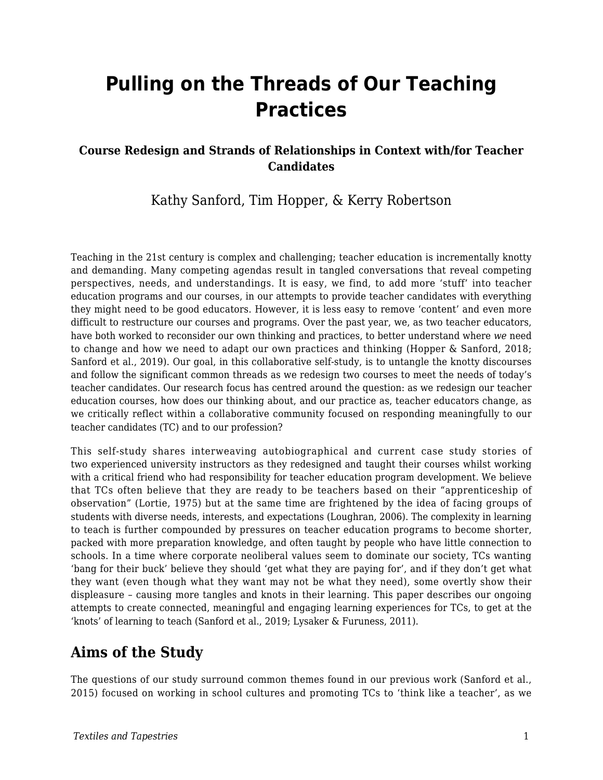# **Pulling on the Threads of Our Teaching Practices**

#### **Course Redesign and Strands of Relationships in Context with/for Teacher Candidates**

### Kathy Sanford, Tim Hopper, & Kerry Robertson

Teaching in the 21st century is complex and challenging; teacher education is incrementally knotty and demanding. Many competing agendas result in tangled conversations that reveal competing perspectives, needs, and understandings. It is easy, we find, to add more 'stuff' into teacher education programs and our courses, in our attempts to provide teacher candidates with everything they might need to be good educators. However, it is less easy to remove 'content' and even more difficult to restructure our courses and programs. Over the past year, we, as two teacher educators, have both worked to reconsider our own thinking and practices, to better understand where *we* need to change and how we need to adapt our own practices and thinking (Hopper & Sanford, 2018; Sanford et al., 2019). Our goal, in this collaborative self-study, is to untangle the knotty discourses and follow the significant common threads as we redesign two courses to meet the needs of today's teacher candidates. Our research focus has centred around the question: as we redesign our teacher education courses, how does our thinking about, and our practice as, teacher educators change, as we critically reflect within a collaborative community focused on responding meaningfully to our teacher candidates (TC) and to our profession?

This self-study shares interweaving autobiographical and current case study stories of two experienced university instructors as they redesigned and taught their courses whilst working with a critical friend who had responsibility for teacher education program development. We believe that TCs often believe that they are ready to be teachers based on their "apprenticeship of observation" (Lortie, 1975) but at the same time are frightened by the idea of facing groups of students with diverse needs, interests, and expectations (Loughran, 2006). The complexity in learning to teach is further compounded by pressures on teacher education programs to become shorter, packed with more preparation knowledge, and often taught by people who have little connection to schools. In a time where corporate neoliberal values seem to dominate our society, TCs wanting 'bang for their buck' believe they should 'get what they are paying for', and if they don't get what they want (even though what they want may not be what they need), some overtly show their displeasure – causing more tangles and knots in their learning. This paper describes our ongoing attempts to create connected, meaningful and engaging learning experiences for TCs, to get at the 'knots' of learning to teach (Sanford et al., 2019; Lysaker & Furuness, 2011).

### **Aims of the Study**

The questions of our study surround common themes found in our previous work (Sanford et al., 2015) focused on working in school cultures and promoting TCs to 'think like a teacher', as we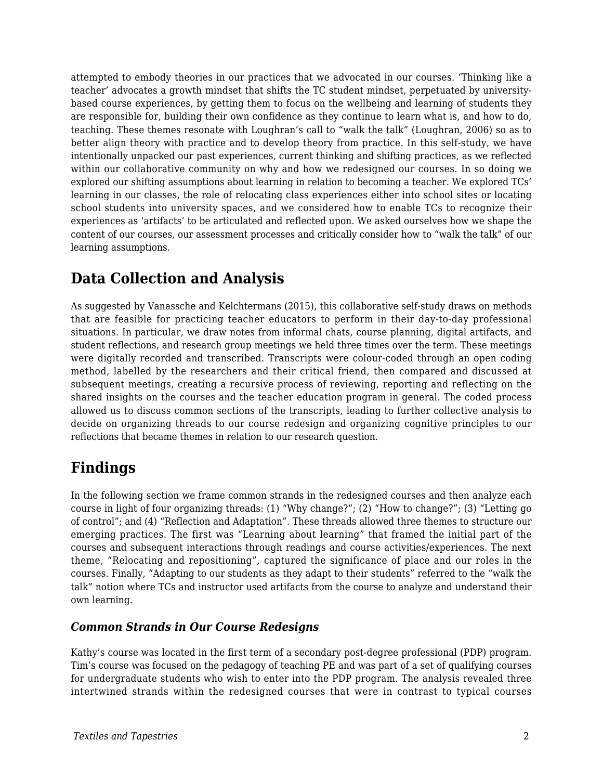attempted to embody theories in our practices that we advocated in our courses. 'Thinking like a teacher' advocates a growth mindset that shifts the TC student mindset, perpetuated by universitybased course experiences, by getting them to focus on the wellbeing and learning of students they are responsible for, building their own confidence as they continue to learn what is, and how to do, teaching. These themes resonate with Loughran's call to "walk the talk" (Loughran, 2006) so as to better align theory with practice and to develop theory from practice. In this self-study, we have intentionally unpacked our past experiences, current thinking and shifting practices, as we reflected within our collaborative community on why and how we redesigned our courses. In so doing we explored our shifting assumptions about learning in relation to becoming a teacher. We explored TCs' learning in our classes, the role of relocating class experiences either into school sites or locating school students into university spaces, and we considered how to enable TCs to recognize their experiences as 'artifacts' to be articulated and reflected upon. We asked ourselves how we shape the content of our courses, our assessment processes and critically consider how to "walk the talk" of our learning assumptions.

### **Data Collection and Analysis**

As suggested by Vanassche and Kelchtermans (2015), this collaborative self-study draws on methods that are feasible for practicing teacher educators to perform in their day-to-day professional situations. In particular, we draw notes from informal chats, course planning, digital artifacts, and student reflections, and research group meetings we held three times over the term. These meetings were digitally recorded and transcribed. Transcripts were colour-coded through an open coding method, labelled by the researchers and their critical friend, then compared and discussed at subsequent meetings, creating a recursive process of reviewing, reporting and reflecting on the shared insights on the courses and the teacher education program in general. The coded process allowed us to discuss common sections of the transcripts, leading to further collective analysis to decide on organizing threads to our course redesign and organizing cognitive principles to our reflections that became themes in relation to our research question.

# **Findings**

In the following section we frame common strands in the redesigned courses and then analyze each course in light of four organizing threads: (1) "Why change?"; (2) "How to change?"; (3) "Letting go of control"; and (4) "Reflection and Adaptation". These threads allowed three themes to structure our emerging practices. The first was "Learning about learning" that framed the initial part of the courses and subsequent interactions through readings and course activities/experiences. The next theme, "Relocating and repositioning", captured the significance of place and our roles in the courses. Finally, "Adapting to our students as they adapt to their students" referred to the "walk the talk" notion where TCs and instructor used artifacts from the course to analyze and understand their own learning.

#### *Common Strands in Our Course Redesigns*

Kathy's course was located in the first term of a secondary post-degree professional (PDP) program. Tim's course was focused on the pedagogy of teaching PE and was part of a set of qualifying courses for undergraduate students who wish to enter into the PDP program. The analysis revealed three intertwined strands within the redesigned courses that were in contrast to typical courses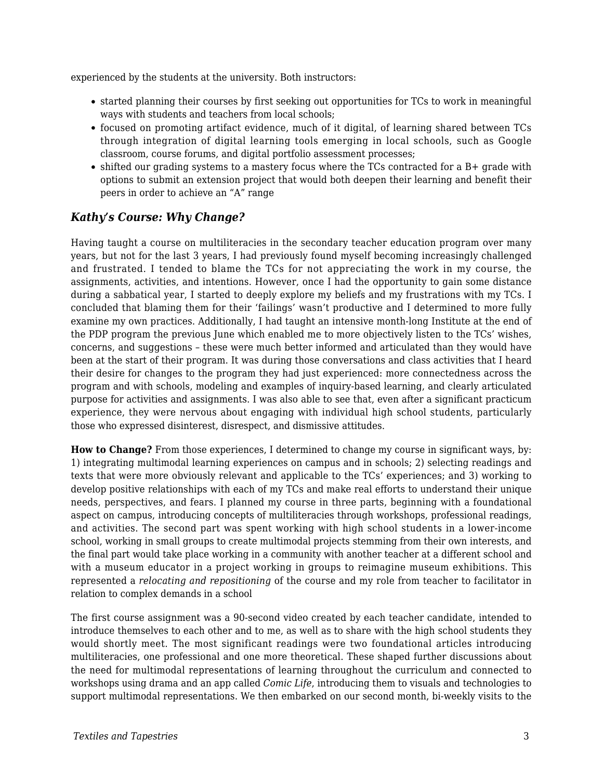experienced by the students at the university. Both instructors:

- started planning their courses by first seeking out opportunities for TCs to work in meaningful ways with students and teachers from local schools;
- focused on promoting artifact evidence, much of it digital, of learning shared between TCs through integration of digital learning tools emerging in local schools, such as Google classroom, course forums, and digital portfolio assessment processes;
- shifted our grading systems to a mastery focus where the TCs contracted for a B+ grade with options to submit an extension project that would both deepen their learning and benefit their peers in order to achieve an "A" range

#### *Kathy's Course: Why Change?*

Having taught a course on multiliteracies in the secondary teacher education program over many years, but not for the last 3 years, I had previously found myself becoming increasingly challenged and frustrated. I tended to blame the TCs for not appreciating the work in my course, the assignments, activities, and intentions. However, once I had the opportunity to gain some distance during a sabbatical year, I started to deeply explore my beliefs and my frustrations with my TCs. I concluded that blaming them for their 'failings' wasn't productive and I determined to more fully examine my own practices. Additionally, I had taught an intensive month-long Institute at the end of the PDP program the previous June which enabled me to more objectively listen to the TCs' wishes, concerns, and suggestions – these were much better informed and articulated than they would have been at the start of their program. It was during those conversations and class activities that I heard their desire for changes to the program they had just experienced: more connectedness across the program and with schools, modeling and examples of inquiry-based learning, and clearly articulated purpose for activities and assignments. I was also able to see that, even after a significant practicum experience, they were nervous about engaging with individual high school students, particularly those who expressed disinterest, disrespect, and dismissive attitudes.

**How to Change?** From those experiences, I determined to change my course in significant ways, by: 1) integrating multimodal learning experiences on campus and in schools; 2) selecting readings and texts that were more obviously relevant and applicable to the TCs' experiences; and 3) working to develop positive relationships with each of my TCs and make real efforts to understand their unique needs, perspectives, and fears. I planned my course in three parts, beginning with a foundational aspect on campus, introducing concepts of multiliteracies through workshops, professional readings, and activities. The second part was spent working with high school students in a lower-income school, working in small groups to create multimodal projects stemming from their own interests, and the final part would take place working in a community with another teacher at a different school and with a museum educator in a project working in groups to reimagine museum exhibitions. This represented a *relocating and repositioning* of the course and my role from teacher to facilitator in relation to complex demands in a school

The first course assignment was a 90-second video created by each teacher candidate, intended to introduce themselves to each other and to me, as well as to share with the high school students they would shortly meet. The most significant readings were two foundational articles introducing multiliteracies, one professional and one more theoretical. These shaped further discussions about the need for multimodal representations of learning throughout the curriculum and connected to workshops using drama and an app called *Comic Life*, introducing them to visuals and technologies to support multimodal representations. We then embarked on our second month, bi-weekly visits to the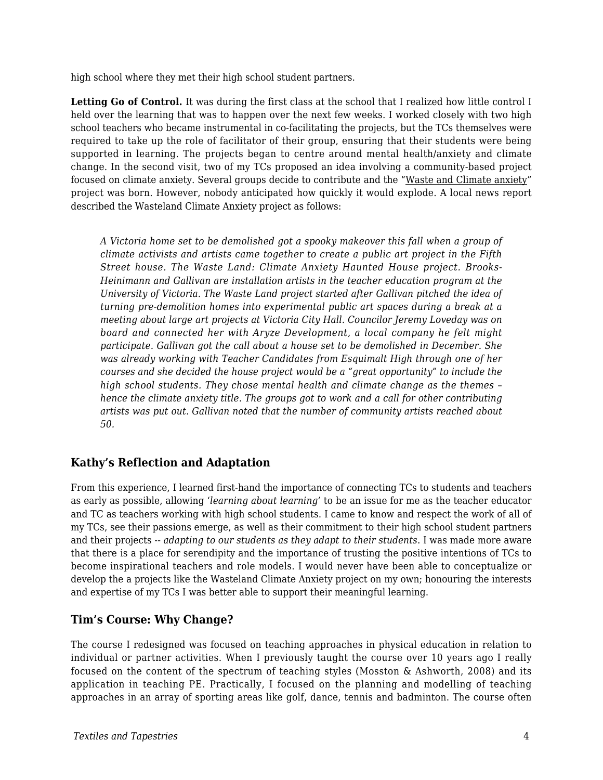high school where they met their high school student partners.

**Letting Go of Control.** It was during the first class at the school that I realized how little control I held over the learning that was to happen over the next few weeks. I worked closely with two high school teachers who became instrumental in co-facilitating the projects, but the TCs themselves were required to take up the role of facilitator of their group, ensuring that their students were being supported in learning. The projects began to centre around mental health/anxiety and climate change. In the second visit, two of my TCs proposed an idea involving a community-based project focused on climate anxiety. Several groups decide to contribute and the "Waste and Climate anxiety" project was born. However, nobody anticipated how quickly it would explode. A local news report described the Wasteland Climate Anxiety project as follows:

*A Victoria home set to be demolished got a spooky makeover this fall when a group of climate activists and artists came together to create a public art project in the Fifth Street house. The Waste Land: Climate Anxiety Haunted House project. Brooks-Heinimann and Gallivan are installation artists in the teacher education program at the University of Victoria. The Waste Land project started after Gallivan pitched the idea of turning pre-demolition homes into experimental public art spaces during a break at a meeting about large art projects at Victoria City Hall. Councilor Jeremy Loveday was on board and connected her with Aryze Development, a local company he felt might participate. Gallivan got the call about a house set to be demolished in December. She was already working with Teacher Candidates from Esquimalt High through one of her courses and she decided the house project would be a "great opportunity" to include the high school students. They chose mental health and climate change as the themes – hence the climate anxiety title. The groups got to work and a call for other contributing artists was put out. Gallivan noted that the number of community artists reached about 50.*

#### **Kathy's Reflection and Adaptation**

From this experience, I learned first-hand the importance of connecting TCs to students and teachers as early as possible, allowing '*learning about learning'* to be an issue for me as the teacher educator and TC as teachers working with high school students. I came to know and respect the work of all of my TCs, see their passions emerge, as well as their commitment to their high school student partners and their projects -- *adapting to our students as they adapt to their students*. I was made more aware that there is a place for serendipity and the importance of trusting the positive intentions of TCs to become inspirational teachers and role models. I would never have been able to conceptualize or develop the a projects like the Wasteland Climate Anxiety project on my own; honouring the interests and expertise of my TCs I was better able to support their meaningful learning.

#### **Tim's Course: Why Change?**

The course I redesigned was focused on teaching approaches in physical education in relation to individual or partner activities. When I previously taught the course over 10 years ago I really focused on the content of the spectrum of teaching styles (Mosston & Ashworth, 2008) and its application in teaching PE. Practically, I focused on the planning and modelling of teaching approaches in an array of sporting areas like golf, dance, tennis and badminton. The course often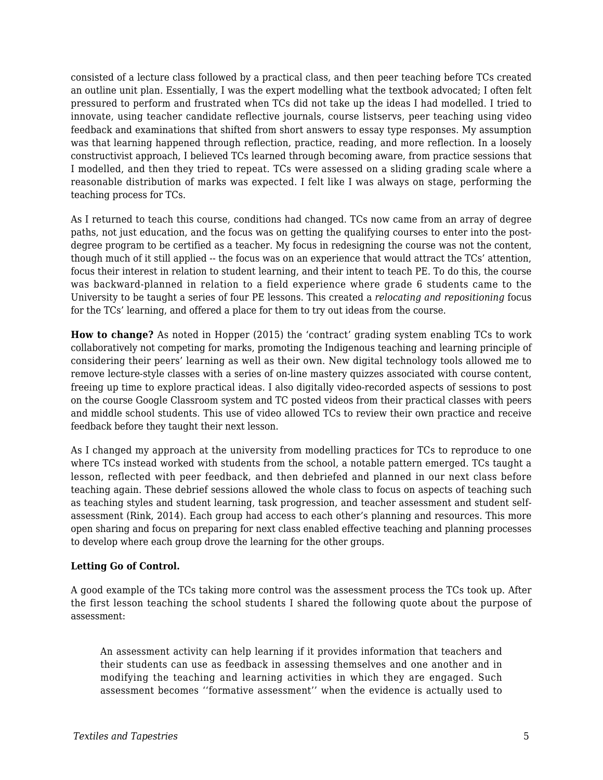consisted of a lecture class followed by a practical class, and then peer teaching before TCs created an outline unit plan. Essentially, I was the expert modelling what the textbook advocated; I often felt pressured to perform and frustrated when TCs did not take up the ideas I had modelled. I tried to innovate, using teacher candidate reflective journals, course listservs, peer teaching using video feedback and examinations that shifted from short answers to essay type responses. My assumption was that learning happened through reflection, practice, reading, and more reflection. In a loosely constructivist approach, I believed TCs learned through becoming aware, from practice sessions that I modelled, and then they tried to repeat. TCs were assessed on a sliding grading scale where a reasonable distribution of marks was expected. I felt like I was always on stage, performing the teaching process for TCs.

As I returned to teach this course, conditions had changed. TCs now came from an array of degree paths, not just education, and the focus was on getting the qualifying courses to enter into the postdegree program to be certified as a teacher. My focus in redesigning the course was not the content, though much of it still applied -- the focus was on an experience that would attract the TCs' attention, focus their interest in relation to student learning, and their intent to teach PE. To do this, the course was backward-planned in relation to a field experience where grade 6 students came to the University to be taught a series of four PE lessons. This created a *relocating and repositioning* focus for the TCs' learning, and offered a place for them to try out ideas from the course.

**How to change?** As noted in Hopper (2015) the 'contract' grading system enabling TCs to work collaboratively not competing for marks, promoting the Indigenous teaching and learning principle of considering their peers' learning as well as their own. New digital technology tools allowed me to remove lecture-style classes with a series of on-line mastery quizzes associated with course content, freeing up time to explore practical ideas. I also digitally video-recorded aspects of sessions to post on the course Google Classroom system and TC posted videos from their practical classes with peers and middle school students. This use of video allowed TCs to review their own practice and receive feedback before they taught their next lesson.

As I changed my approach at the university from modelling practices for TCs to reproduce to one where TCs instead worked with students from the school, a notable pattern emerged. TCs taught a lesson, reflected with peer feedback, and then debriefed and planned in our next class before teaching again. These debrief sessions allowed the whole class to focus on aspects of teaching such as teaching styles and student learning, task progression, and teacher assessment and student selfassessment (Rink, 2014). Each group had access to each other's planning and resources. This more open sharing and focus on preparing for next class enabled effective teaching and planning processes to develop where each group drove the learning for the other groups.

#### **Letting Go of Control.**

A good example of the TCs taking more control was the assessment process the TCs took up. After the first lesson teaching the school students I shared the following quote about the purpose of assessment:

An assessment activity can help learning if it provides information that teachers and their students can use as feedback in assessing themselves and one another and in modifying the teaching and learning activities in which they are engaged. Such assessment becomes ''formative assessment'' when the evidence is actually used to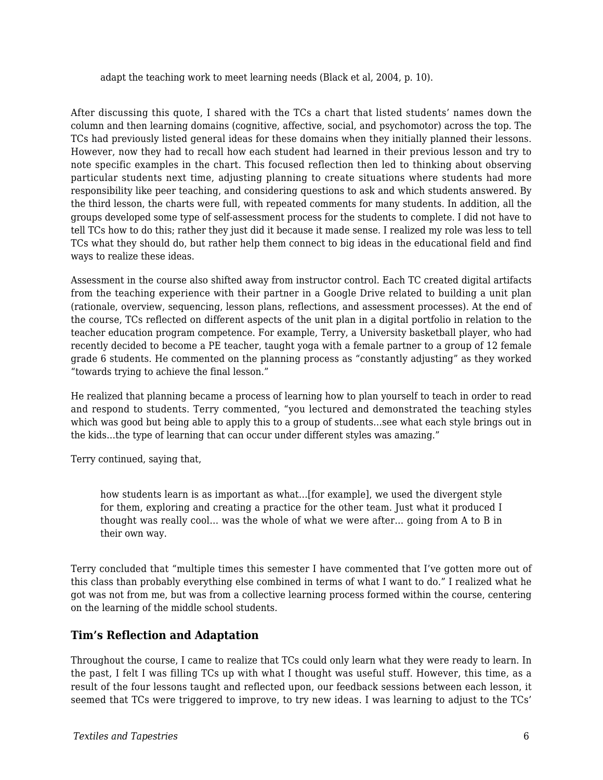adapt the teaching work to meet learning needs (Black et al, 2004, p. 10).

After discussing this quote, I shared with the TCs a chart that listed students' names down the column and then learning domains (cognitive, affective, social, and psychomotor) across the top. The TCs had previously listed general ideas for these domains when they initially planned their lessons. However, now they had to recall how each student had learned in their previous lesson and try to note specific examples in the chart. This focused reflection then led to thinking about observing particular students next time, adjusting planning to create situations where students had more responsibility like peer teaching, and considering questions to ask and which students answered. By the third lesson, the charts were full, with repeated comments for many students. In addition, all the groups developed some type of self-assessment process for the students to complete. I did not have to tell TCs how to do this; rather they just did it because it made sense. I realized my role was less to tell TCs what they should do, but rather help them connect to big ideas in the educational field and find ways to realize these ideas.

Assessment in the course also shifted away from instructor control. Each TC created digital artifacts from the teaching experience with their partner in a Google Drive related to building a unit plan (rationale, overview, sequencing, lesson plans, reflections, and assessment processes). At the end of the course, TCs reflected on different aspects of the unit plan in a digital portfolio in relation to the teacher education program competence. For example, Terry, a University basketball player, who had recently decided to become a PE teacher, taught yoga with a female partner to a group of 12 female grade 6 students. He commented on the planning process as "constantly adjusting" as they worked "towards trying to achieve the final lesson."

He realized that planning became a process of learning how to plan yourself to teach in order to read and respond to students. Terry commented, "you lectured and demonstrated the teaching styles which was good but being able to apply this to a group of students…see what each style brings out in the kids…the type of learning that can occur under different styles was amazing."

Terry continued, saying that,

how students learn is as important as what…[for example], we used the divergent style for them, exploring and creating a practice for the other team. Just what it produced I thought was really cool… was the whole of what we were after… going from A to B in their own way.

Terry concluded that "multiple times this semester I have commented that I've gotten more out of this class than probably everything else combined in terms of what I want to do." I realized what he got was not from me, but was from a collective learning process formed within the course, centering on the learning of the middle school students.

#### **Tim's Reflection and Adaptation**

Throughout the course, I came to realize that TCs could only learn what they were ready to learn. In the past, I felt I was filling TCs up with what I thought was useful stuff. However, this time, as a result of the four lessons taught and reflected upon, our feedback sessions between each lesson, it seemed that TCs were triggered to improve, to try new ideas. I was learning to adjust to the TCs'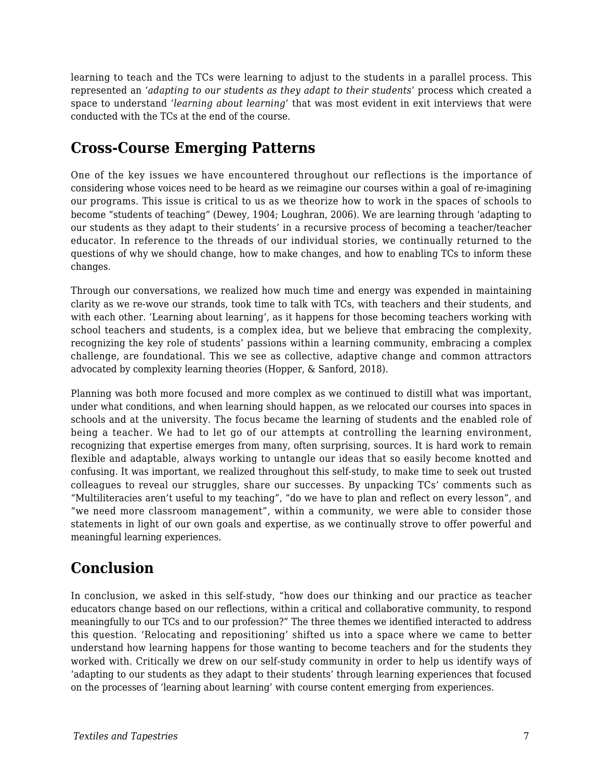learning to teach and the TCs were learning to adjust to the students in a parallel process. This represented an '*adapting to our students as they adapt to their students*' process which created a space to understand '*learning about learning*' that was most evident in exit interviews that were conducted with the TCs at the end of the course.

# **Cross-Course Emerging Patterns**

One of the key issues we have encountered throughout our reflections is the importance of considering whose voices need to be heard as we reimagine our courses within a goal of re-imagining our programs. This issue is critical to us as we theorize how to work in the spaces of schools to become "students of teaching" (Dewey, 1904; Loughran, 2006). We are learning through 'adapting to our students as they adapt to their students' in a recursive process of becoming a teacher/teacher educator. In reference to the threads of our individual stories, we continually returned to the questions of why we should change, how to make changes, and how to enabling TCs to inform these changes.

Through our conversations, we realized how much time and energy was expended in maintaining clarity as we re-wove our strands, took time to talk with TCs, with teachers and their students, and with each other. 'Learning about learning', as it happens for those becoming teachers working with school teachers and students, is a complex idea, but we believe that embracing the complexity, recognizing the key role of students' passions within a learning community, embracing a complex challenge, are foundational. This we see as collective, adaptive change and common attractors advocated by complexity learning theories (Hopper, & Sanford, 2018).

Planning was both more focused and more complex as we continued to distill what was important, under what conditions, and when learning should happen, as we relocated our courses into spaces in schools and at the university. The focus became the learning of students and the enabled role of being a teacher. We had to let go of our attempts at controlling the learning environment, recognizing that expertise emerges from many, often surprising, sources. It is hard work to remain flexible and adaptable, always working to untangle our ideas that so easily become knotted and confusing. It was important, we realized throughout this self-study, to make time to seek out trusted colleagues to reveal our struggles, share our successes. By unpacking TCs' comments such as "Multiliteracies aren't useful to my teaching", "do we have to plan and reflect on every lesson", and "we need more classroom management", within a community, we were able to consider those statements in light of our own goals and expertise, as we continually strove to offer powerful and meaningful learning experiences.

# **Conclusion**

In conclusion, we asked in this self-study, "how does our thinking and our practice as teacher educators change based on our reflections, within a critical and collaborative community, to respond meaningfully to our TCs and to our profession?" The three themes we identified interacted to address this question. 'Relocating and repositioning' shifted us into a space where we came to better understand how learning happens for those wanting to become teachers and for the students they worked with. Critically we drew on our self-study community in order to help us identify ways of 'adapting to our students as they adapt to their students' through learning experiences that focused on the processes of 'learning about learning' with course content emerging from experiences.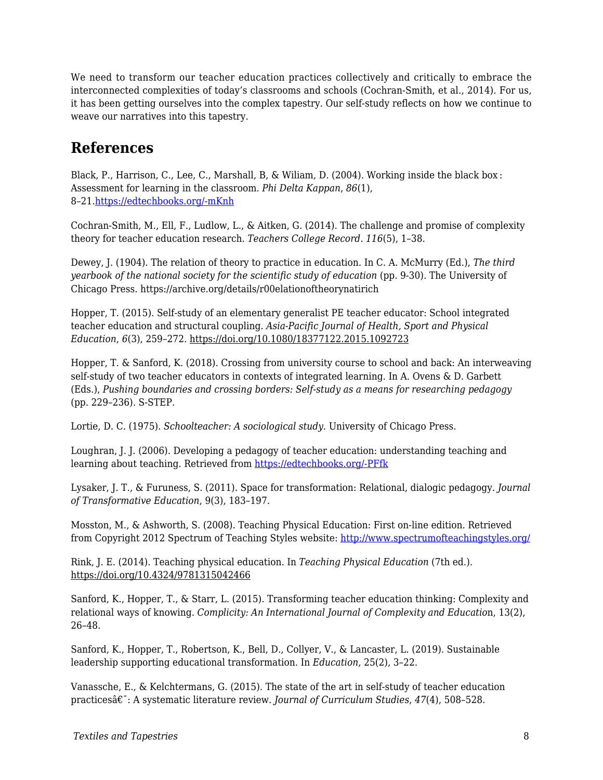We need to transform our teacher education practices collectively and critically to embrace the interconnected complexities of today's classrooms and schools (Cochran-Smith, et al., 2014). For us, it has been getting ourselves into the complex tapestry. Our self-study reflects on how we continue to weave our narratives into this tapestry.

### **References**

Black, P., Harrison, C., Lee, C., Marshall, B, & Wiliam, D. (2004). Working inside the black box : Assessment for learning in the classroom. *Phi Delta Kappan*, *86*(1), 8–21.[https://edtechbooks.org/-mKnh](https://doi.org/10.1177/003172170408600105)

Cochran-Smith, M., Ell, F., Ludlow, L., & Aitken, G. (2014). The challenge and promise of complexity theory for teacher education research. *Teachers College Record. 116*(5), 1–38.

Dewey, J. (1904). The relation of theory to practice in education. In C. A. McMurry (Ed.), *The third yearbook of the national society for the scientific study of education (pp. 9-30). The University of* Chicago Press. https://archive.org/details/r00elationoftheorynatirich

Hopper, T. (2015). Self-study of an elementary generalist PE teacher educator: School integrated teacher education and structural coupling. *Asia-Pacific Journal of Health, Sport and Physical Education*, *6*(3), 259–272. https://doi.org/10.1080/18377122.2015.1092723

Hopper, T. & Sanford, K. (2018). Crossing from university course to school and back: An interweaving self-study of two teacher educators in contexts of integrated learning. In A. Ovens & D. Garbett (Eds.), *Pushing boundaries and crossing borders: Self-study as a means for researching pedagogy* (pp. 229–236). S-STEP.

Lortie, D. C. (1975). *Schoolteacher: A sociological study.* University of Chicago Press.

Loughran, J. J. (2006). Developing a pedagogy of teacher education: understanding teaching and learning about teaching. Retrieved from [https://edtechbooks.org/-PFfk](http://www.loc.gov/catdir/toc/ecip0513/2005014702.html)

Lysaker, J. T., & Furuness, S. (2011). Space for transformation: Relational, dialogic pedagogy. *Journal of Transformative Education*, 9(3), 183–197.

Mosston, M., & Ashworth, S. (2008). Teaching Physical Education: First on-line edition. Retrieved from Copyright 2012 Spectrum of Teaching Styles website: <http://www.spectrumofteachingstyles.org/>

Rink, J. E. (2014). Teaching physical education. In *Teaching Physical Education* (7th ed.). https://doi.org/10.4324/9781315042466

Sanford, K., Hopper, T., & Starr, L. (2015). Transforming teacher education thinking: Complexity and relational ways of knowing. *Complicity: An International Journal of Complexity and Educatio*n, 13(2), 26–48.

Sanford, K., Hopper, T., Robertson, K., Bell, D., Collyer, V., & Lancaster, L. (2019). Sustainable leadership supporting educational transformation. In *Education*, 25(2), 3–22.

Vanassche, E., & Kelchtermans, G. (2015). The state of the art in self-study of teacher education practices : A systematic literature review. *Journal of Curriculum Studies*, *47*(4), 508–528.